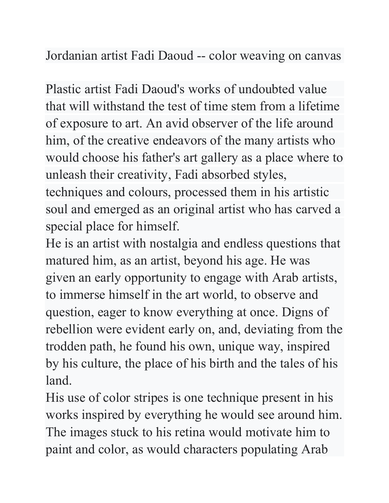Jordanian artist Fadi Daoud -- color weaving on canvas

Plastic artist Fadi Daoud's works of undoubted value that will withstand the test of time stem from a lifetime of exposure to art. An avid observer of the life around him, of the creative endeavors of the many artists who would choose his father's art gallery as a place where to unleash their creativity, Fadi absorbed styles, techniques and colours, processed them in his artistic soul and emerged as an original artist who has carved a special place for himself.

He is an artist with nostalgia and endless questions that matured him, as an artist, beyond his age. He was given an early opportunity to engage with Arab artists, to immerse himself in the art world, to observe and question, eager to know everything at once. Digns of rebellion were evident early on, and, deviating from the trodden path, he found his own, unique way, inspired by his culture, the place of his birth and the tales of his land.

His use of color stripes is one technique present in his works inspired by everything he would see around him. The images stuck to his retina would motivate him to paint and color, as would characters populating Arab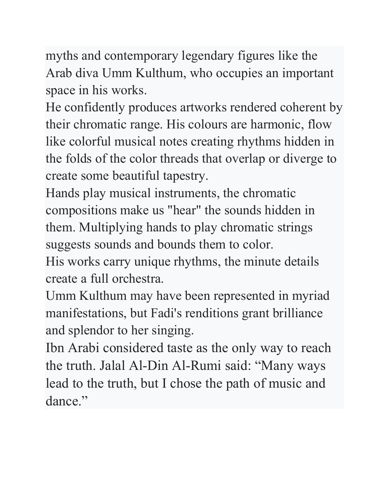myths and contemporary legendary figures like the Arab diva Umm Kulthum, who occupies an important space in his works.

He confidently produces artworks rendered coherent by their chromatic range. His colours are harmonic, flow like colorful musical notes creating rhythms hidden in the folds of the color threads that overlap or diverge to create some beautiful tapestry.

Hands play musical instruments, the chromatic compositions make us "hear" the sounds hidden in them. Multiplying hands to play chromatic strings suggests sounds and bounds them to color.

His works carry unique rhythms, the minute details create a full orchestra.

Umm Kulthum may have been represented in myriad manifestations, but Fadi's renditions grant brilliance and splendor to her singing.

Ibn Arabi considered taste as the only way to reach the truth. Jalal Al-Din Al-Rumi said: "Many ways lead to the truth, but I chose the path of music and dance."